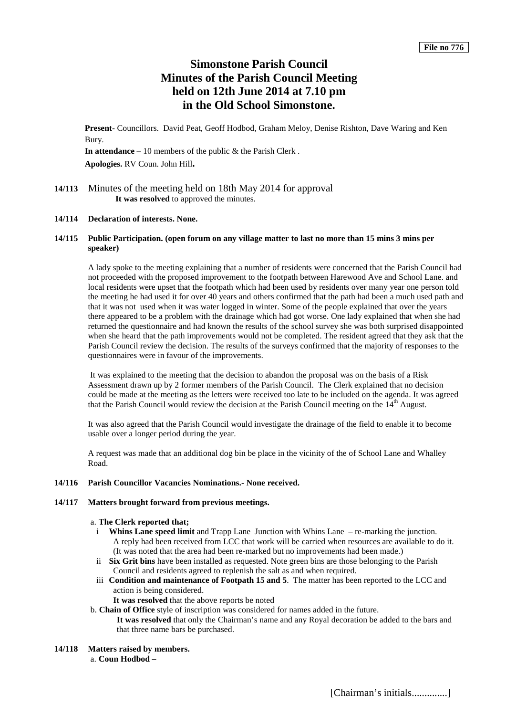# **Simonstone Parish Council Minutes of the Parish Council Meeting held on 12th June 2014 at 7.10 pm in the Old School Simonstone.**

**Present**- Councillors. David Peat, Geoff Hodbod, Graham Meloy, Denise Rishton, Dave Waring and Ken Bury.

**In attendance** – 10 members of the public & the Parish Clerk .

**Apologies.** RV Coun. John Hill**.**

**14/113** Minutes of the meeting held on 18th May 2014 for approval **It was resolved** to approved the minutes.

# **14/114 Declaration of interests. None.**

# **14/115 Public Participation. (open forum on any village matter to last no more than 15 mins 3 mins per speaker)**

A lady spoke to the meeting explaining that a number of residents were concerned that the Parish Council had not proceeded with the proposed improvement to the footpath between Harewood Ave and School Lane. and local residents were upset that the footpath which had been used by residents over many year one person told the meeting he had used it for over 40 years and others confirmed that the path had been a much used path and that it was not used when it was water logged in winter. Some of the people explained that over the years there appeared to be a problem with the drainage which had got worse. One lady explained that when she had returned the questionnaire and had known the results of the school survey she was both surprised disappointed when she heard that the path improvements would not be completed. The resident agreed that they ask that the Parish Council review the decision. The results of the surveys confirmed that the majority of responses to the questionnaires were in favour of the improvements.

It was explained to the meeting that the decision to abandon the proposal was on the basis of a Risk Assessment drawn up by 2 former members of the Parish Council. The Clerk explained that no decision could be made at the meeting as the letters were received too late to be included on the agenda. It was agreed that the Parish Council would review the decision at the Parish Council meeting on the  $14<sup>th</sup>$  August.

It was also agreed that the Parish Council would investigate the drainage of the field to enable it to become usable over a longer period during the year.

A request was made that an additional dog bin be place in the vicinity of the of School Lane and Whalley Road.

## **14/116 Parish Councillor Vacancies Nominations.- None received.**

#### **14/117 Matters brought forward from previous meetings.**

#### a. **The Clerk reported that;**

- i **Whins Lane speed limit** and Trapp Lane Junction with Whins Lane re-marking the junction. A reply had been received from LCC that work will be carried when resources are available to do it. (It was noted that the area had been re-marked but no improvements had been made.)
- ii **Six Grit bins** have been installed as requested. Note green bins are those belonging to the Parish Council and residents agreed to replenish the salt as and when required.
- iii **Condition and maintenance of Footpath 15 and 5**. The matter has been reported to the LCC and action is being considered.
	- **It was resolved** that the above reports be noted

b. **Chain of Office** style of inscription was considered for names added in the future. **It was resolved** that only the Chairman's name and any Royal decoration be added to the bars and that three name bars be purchased.

**14/118 Matters raised by members.**

a. **Coun Hodbod –**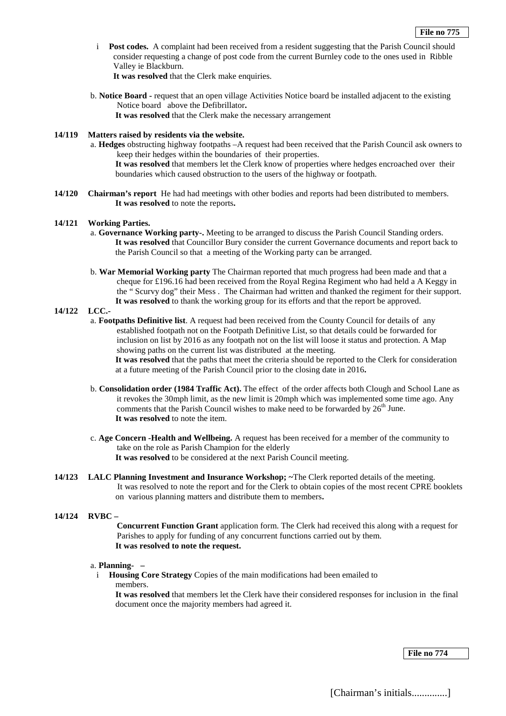i **Post codes.** A complaint had been received from a resident suggesting that the Parish Council should consider requesting a change of post code from the current Burnley code to the ones used in Ribble Valley ie Blackburn.

**It was resolved** that the Clerk make enquiries.

b. **Notice Board -** request that an open village Activities Notice board be installed adjacent to the existing Notice board above the Defibrillator**.** 

**It was resolved** that the Clerk make the necessary arrangement

# **14/119 Matters raised by residents via the website.**

- a. **Hedges** obstructing highway footpaths –A request had been received that the Parish Council ask owners to keep their hedges within the boundaries of their properties. **It was resolved** that members let the Clerk know of properties where hedges encroached over their boundaries which caused obstruction to the users of the highway or footpath.
- **14/120 Chairman's report** He had had meetings with other bodies and reports had been distributed to members. **It was resolved** to note the reports**.**

## **14/121 Working Parties.**

- a. **Governance Working party-.** Meeting to be arranged to discuss the Parish Council Standing orders. **It was resolved** that Councillor Bury consider the current Governance documents and report back to the Parish Council so that a meeting of the Working party can be arranged.
- b. **War Memorial Working party** The Chairman reported that much progress had been made and that a cheque for £196.16 had been received from the Royal Regina Regiment who had held a A Keggy in the " Scurvy dog" their Mess . The Chairman had written and thanked the regiment for their support. **It was resolved** to thank the working group for its efforts and that the report be approved.

## **14/122 LCC.-**

a. **Footpaths Definitive list**. A request had been received from the County Council for details of any established footpath not on the Footpath Definitive List, so that details could be forwarded for inclusion on list by 2016 as any footpath not on the list will loose it status and protection. A Map showing paths on the current list was distributed at the meeting.

**It was resolved** that the paths that meet the criteria should be reported to the Clerk for consideration at a future meeting of the Parish Council prior to the closing date in 2016**.** 

- b. **Consolidation order (1984 Traffic Act).** The effect of the order affects both Clough and School Lane as it revokes the 30mph limit, as the new limit is 20mph which was implemented some time ago. Any comments that the Parish Council wishes to make need to be forwarded by  $26<sup>th</sup>$  June. **It was resolved** to note the item.
- c. **Age Concern -Health and Wellbeing.** A request has been received for a member of the community to take on the role as Parish Champion for the elderly **It was resolved** to be considered at the next Parish Council meeting.
- **14/123 LALC Planning Investment and Insurance Workshop; ~**The Clerk reported details of the meeting. It was resolved to note the report and for the Clerk to obtain copies of the most recent CPRE booklets on various planning matters and distribute them to members**.**

## **14/124 RVBC –**

**Concurrent Function Grant** application form. The Clerk had received this along with a request for Parishes to apply for funding of any concurrent functions carried out by them. **It was resolved to note the request.**

#### a. **Planning- –**

i **Housing Core Strategy** Copies of the main modifications had been emailed to members.

**It was resolved** that members let the Clerk have their considered responses for inclusion in the final document once the majority members had agreed it.

**File no 774**